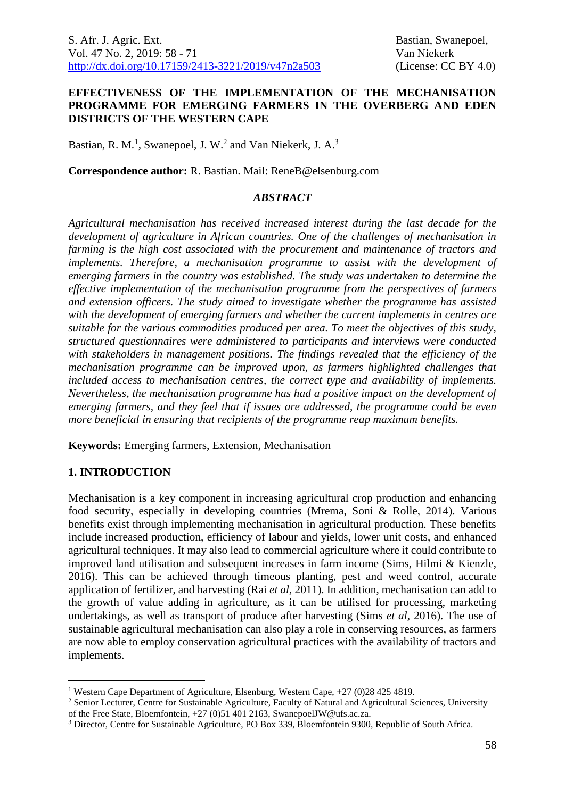### **EFFECTIVENESS OF THE IMPLEMENTATION OF THE MECHANISATION PROGRAMME FOR EMERGING FARMERS IN THE OVERBERG AND EDEN DISTRICTS OF THE WESTERN CAPE**

Bastian, R. M.<sup>1</sup>, Swanepoel, J. W.<sup>2</sup> and Van Niekerk, J. A.<sup>3</sup>

**Correspondence author:** R. Bastian. Mail: ReneB@elsenburg.com

### *ABSTRACT*

*Agricultural mechanisation has received increased interest during the last decade for the development of agriculture in African countries. One of the challenges of mechanisation in farming is the high cost associated with the procurement and maintenance of tractors and implements. Therefore, a mechanisation programme to assist with the development of emerging farmers in the country was established. The study was undertaken to determine the effective implementation of the mechanisation programme from the perspectives of farmers and extension officers. The study aimed to investigate whether the programme has assisted with the development of emerging farmers and whether the current implements in centres are suitable for the various commodities produced per area. To meet the objectives of this study, structured questionnaires were administered to participants and interviews were conducted with stakeholders in management positions. The findings revealed that the efficiency of the mechanisation programme can be improved upon, as farmers highlighted challenges that included access to mechanisation centres, the correct type and availability of implements. Nevertheless, the mechanisation programme has had a positive impact on the development of emerging farmers, and they feel that if issues are addressed, the programme could be even more beneficial in ensuring that recipients of the programme reap maximum benefits.*

**Keywords:** Emerging farmers, Extension, Mechanisation

## **1. INTRODUCTION**

<u>.</u>

Mechanisation is a key component in increasing agricultural crop production and enhancing food security, especially in developing countries (Mrema, Soni & Rolle, 2014). Various benefits exist through implementing mechanisation in agricultural production. These benefits include increased production, efficiency of labour and yields, lower unit costs, and enhanced agricultural techniques. It may also lead to commercial agriculture where it could contribute to improved land utilisation and subsequent increases in farm income (Sims, Hilmi & Kienzle, 2016). This can be achieved through timeous planting, pest and weed control, accurate application of fertilizer, and harvesting (Rai *et al,* 2011). In addition, mechanisation can add to the growth of value adding in agriculture, as it can be utilised for processing, marketing undertakings, as well as transport of produce after harvesting (Sims *et al,* 2016). The use of sustainable agricultural mechanisation can also play a role in conserving resources, as farmers are now able to employ conservation agricultural practices with the availability of tractors and implements.

<sup>&</sup>lt;sup>1</sup> Western Cape Department of Agriculture, Elsenburg, Western Cape,  $+27$  (0)28 425 4819.

<sup>2</sup> Senior Lecturer, Centre for Sustainable Agriculture, Faculty of Natural and Agricultural Sciences, University of the Free State, Bloemfontein, +27 (0)51 401 2163, SwanepoelJW@ufs.ac.za.

<sup>3</sup> Director, Centre for Sustainable Agriculture, PO Box 339, Bloemfontein 9300, Republic of South Africa.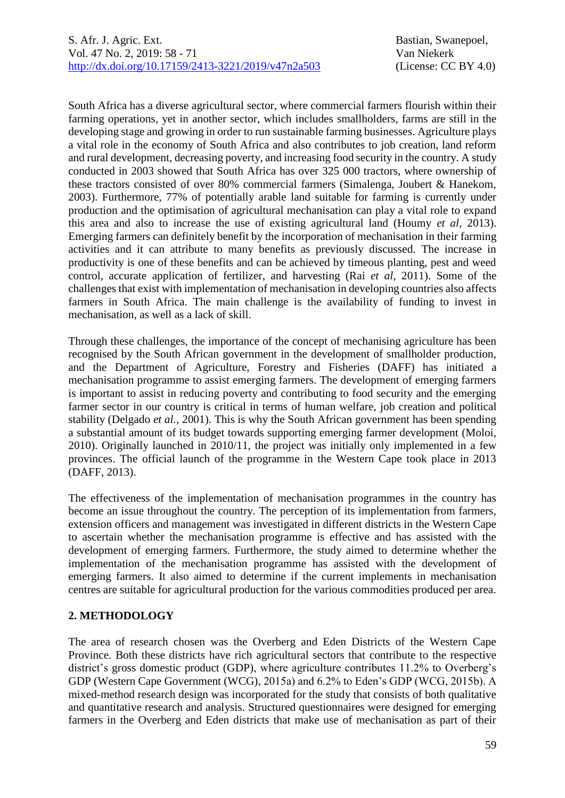South Africa has a diverse agricultural sector, where commercial farmers flourish within their farming operations, yet in another sector, which includes smallholders, farms are still in the developing stage and growing in order to run sustainable farming businesses. Agriculture plays a vital role in the economy of South Africa and also contributes to job creation, land reform and rural development, decreasing poverty, and increasing food security in the country. A study conducted in 2003 showed that South Africa has over 325 000 tractors, where ownership of these tractors consisted of over 80% commercial farmers (Simalenga, Joubert & Hanekom, 2003). Furthermore, 77% of potentially arable land suitable for farming is currently under production and the optimisation of agricultural mechanisation can play a vital role to expand this area and also to increase the use of existing agricultural land (Houmy *et al,* 2013). Emerging farmers can definitely benefit by the incorporation of mechanisation in their farming activities and it can attribute to many benefits as previously discussed. The increase in productivity is one of these benefits and can be achieved by timeous planting, pest and weed control, accurate application of fertilizer, and harvesting (Rai *et al*, 2011). Some of the challenges that exist with implementation of mechanisation in developing countries also affects farmers in South Africa. The main challenge is the availability of funding to invest in mechanisation, as well as a lack of skill.

Through these challenges, the importance of the concept of mechanising agriculture has been recognised by the South African government in the development of smallholder production, and the Department of Agriculture, Forestry and Fisheries (DAFF) has initiated a mechanisation programme to assist emerging farmers. The development of emerging farmers is important to assist in reducing poverty and contributing to food security and the emerging farmer sector in our country is critical in terms of human welfare, job creation and political stability (Delgado *et al.,* 2001). This is why the South African government has been spending a substantial amount of its budget towards supporting emerging farmer development (Moloi, 2010). Originally launched in 2010/11, the project was initially only implemented in a few provinces. The official launch of the programme in the Western Cape took place in 2013 (DAFF, 2013).

The effectiveness of the implementation of mechanisation programmes in the country has become an issue throughout the country. The perception of its implementation from farmers, extension officers and management was investigated in different districts in the Western Cape to ascertain whether the mechanisation programme is effective and has assisted with the development of emerging farmers. Furthermore, the study aimed to determine whether the implementation of the mechanisation programme has assisted with the development of emerging farmers. It also aimed to determine if the current implements in mechanisation centres are suitable for agricultural production for the various commodities produced per area.

## **2. METHODOLOGY**

The area of research chosen was the Overberg and Eden Districts of the Western Cape Province. Both these districts have rich agricultural sectors that contribute to the respective district's gross domestic product (GDP), where agriculture contributes 11.2% to Overberg's GDP (Western Cape Government (WCG), 2015a) and 6.2% to Eden's GDP (WCG, 2015b). A mixed-method research design was incorporated for the study that consists of both qualitative and quantitative research and analysis. Structured questionnaires were designed for emerging farmers in the Overberg and Eden districts that make use of mechanisation as part of their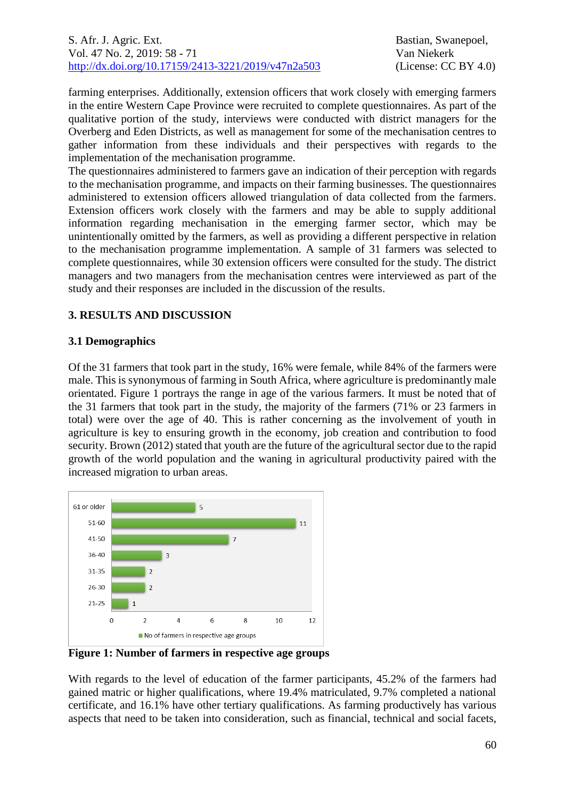## S. Afr. J. Agric. Ext. **Bastian, Swanepoel**, **Bastian**, Swanepoel, Vol. 47 No. 2, 2019: 58 - 71 Van Niekerk [http://dx.doi.org/10.17159/2413-3221/2019/v47n2a5](https://urldefense.proofpoint.com/v2/url?u=http-3A__dx.doi.org_10.17159_2413-2D3221_2019_v47n1a485&d=DwMFAg&c=vTCSeBKl9YZZHWJzz-zQUQ&r=2O1irMqrdumXAIE9PdSLREhTXj5iyPGEywcz8I6zQwI&m=niwmmhX1mCI8GpeJjK8D7j-v09hQgXHBu3LsS3Opojw&s=98o8gy8B6ly02TS5WoJvLScIQPXENi4ceK3R3c9Iu9c&e=)03 (License: CC BY 4.0)

farming enterprises. Additionally, extension officers that work closely with emerging farmers in the entire Western Cape Province were recruited to complete questionnaires. As part of the qualitative portion of the study, interviews were conducted with district managers for the Overberg and Eden Districts, as well as management for some of the mechanisation centres to gather information from these individuals and their perspectives with regards to the implementation of the mechanisation programme.

The questionnaires administered to farmers gave an indication of their perception with regards to the mechanisation programme, and impacts on their farming businesses. The questionnaires administered to extension officers allowed triangulation of data collected from the farmers. Extension officers work closely with the farmers and may be able to supply additional information regarding mechanisation in the emerging farmer sector, which may be unintentionally omitted by the farmers, as well as providing a different perspective in relation to the mechanisation programme implementation. A sample of 31 farmers was selected to complete questionnaires, while 30 extension officers were consulted for the study. The district managers and two managers from the mechanisation centres were interviewed as part of the study and their responses are included in the discussion of the results.

# **3. RESULTS AND DISCUSSION**

### **3.1 Demographics**

Of the 31 farmers that took part in the study, 16% were female, while 84% of the farmers were male. This is synonymous of farming in South Africa, where agriculture is predominantly male orientated. Figure 1 portrays the range in age of the various farmers. It must be noted that of the 31 farmers that took part in the study, the majority of the farmers (71% or 23 farmers in total) were over the age of 40. This is rather concerning as the involvement of youth in agriculture is key to ensuring growth in the economy, job creation and contribution to food security. Brown (2012) stated that youth are the future of the agricultural sector due to the rapid growth of the world population and the waning in agricultural productivity paired with the increased migration to urban areas.



**Figure 1: Number of farmers in respective age groups** 

With regards to the level of education of the farmer participants, 45.2% of the farmers had gained matric or higher qualifications, where 19.4% matriculated, 9.7% completed a national certificate, and 16.1% have other tertiary qualifications. As farming productively has various aspects that need to be taken into consideration, such as financial, technical and social facets,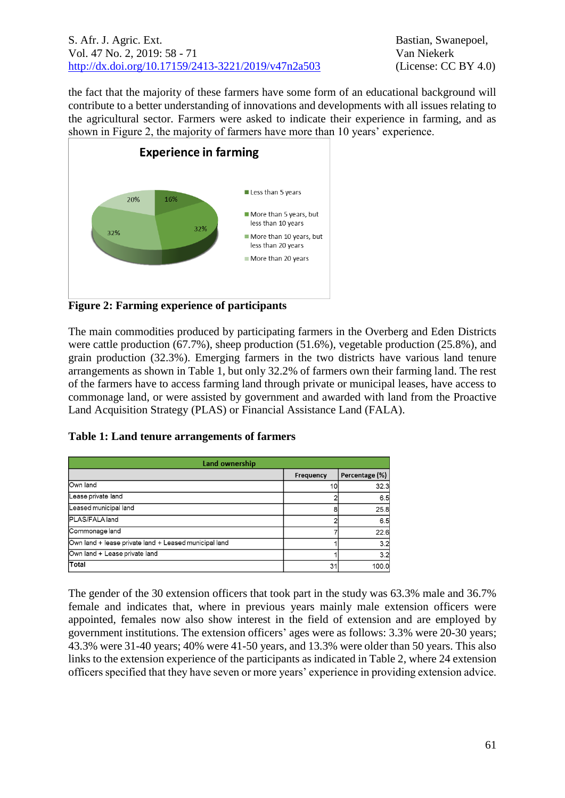### S. Afr. J. Agric. Ext. Bastian, Swanepoel, Vol. 47 No. 2, 2019: 58 - 71 Van Niekerk [http://dx.doi.org/10.17159/2413-3221/2019/v47n2a5](https://urldefense.proofpoint.com/v2/url?u=http-3A__dx.doi.org_10.17159_2413-2D3221_2019_v47n1a485&d=DwMFAg&c=vTCSeBKl9YZZHWJzz-zQUQ&r=2O1irMqrdumXAIE9PdSLREhTXj5iyPGEywcz8I6zQwI&m=niwmmhX1mCI8GpeJjK8D7j-v09hQgXHBu3LsS3Opojw&s=98o8gy8B6ly02TS5WoJvLScIQPXENi4ceK3R3c9Iu9c&e=)03 (License: CC BY 4.0)

the fact that the majority of these farmers have some form of an educational background will contribute to a better understanding of innovations and developments with all issues relating to the agricultural sector. Farmers were asked to indicate their experience in farming, and as shown in Figure 2, the majority of farmers have more than 10 years' experience.



**Figure 2: Farming experience of participants**

The main commodities produced by participating farmers in the Overberg and Eden Districts were cattle production (67.7%), sheep production (51.6%), vegetable production (25.8%), and grain production (32.3%). Emerging farmers in the two districts have various land tenure arrangements as shown in Table 1, but only 32.2% of farmers own their farming land. The rest of the farmers have to access farming land through private or municipal leases, have access to commonage land, or were assisted by government and awarded with land from the Proactive Land Acquisition Strategy (PLAS) or Financial Assistance Land (FALA).

**Table 1: Land tenure arrangements of farmers**

| Land ownership                                        |           |                |  |
|-------------------------------------------------------|-----------|----------------|--|
|                                                       | Frequency | Percentage (%) |  |
| Own land                                              | 10        | 32.3           |  |
| Lease private land                                    |           | 6.5            |  |
| Leased municipal land                                 |           | 25.8           |  |
| PLAS/FALA land                                        |           | 6.5            |  |
| Commonage land                                        |           | 22.6           |  |
| Own land + lease private land + Leased municipal land |           | 3.2            |  |
| Own land + Lease private land                         |           | 3.2            |  |
| Total                                                 | 31        | 100.0          |  |

The gender of the 30 extension officers that took part in the study was 63.3% male and 36.7% female and indicates that, where in previous years mainly male extension officers were appointed, females now also show interest in the field of extension and are employed by government institutions. The extension officers' ages were as follows: 3.3% were 20-30 years; 43.3% were 31-40 years; 40% were 41-50 years, and 13.3% were older than 50 years. This also links to the extension experience of the participants as indicated in Table 2, where 24 extension officers specified that they have seven or more years' experience in providing extension advice.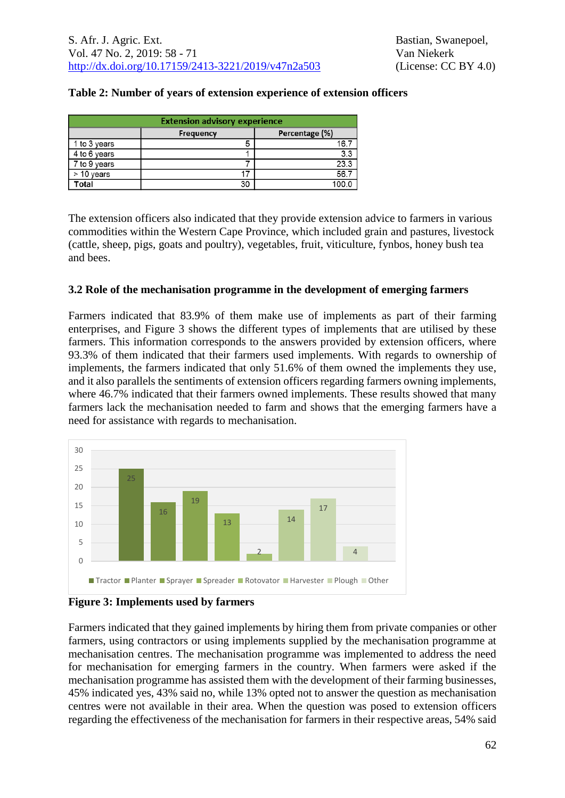### **Table 2: Number of years of extension experience of extension officers**

| <b>Extension advisory experience</b> |           |                |  |
|--------------------------------------|-----------|----------------|--|
|                                      | Frequency | Percentage (%) |  |
| 1 to 3 years                         | 5         | 16.7           |  |
| 4 to 6 years                         |           | 3.3            |  |
| 7 to 9 years                         |           | 23.3           |  |
| $>$ 10 years                         | 17        | 56.7           |  |
| 'otal                                | 30        | 100.C          |  |

The extension officers also indicated that they provide extension advice to farmers in various commodities within the Western Cape Province, which included grain and pastures, livestock (cattle, sheep, pigs, goats and poultry), vegetables, fruit, viticulture, fynbos, honey bush tea and bees.

#### **3.2 Role of the mechanisation programme in the development of emerging farmers**

Farmers indicated that 83.9% of them make use of implements as part of their farming enterprises, and Figure 3 shows the different types of implements that are utilised by these farmers. This information corresponds to the answers provided by extension officers, where 93.3% of them indicated that their farmers used implements. With regards to ownership of implements, the farmers indicated that only 51.6% of them owned the implements they use, and it also parallels the sentiments of extension officers regarding farmers owning implements, where 46.7% indicated that their farmers owned implements. These results showed that many farmers lack the mechanisation needed to farm and shows that the emerging farmers have a need for assistance with regards to mechanisation.



#### **Figure 3: Implements used by farmers**

Farmers indicated that they gained implements by hiring them from private companies or other farmers, using contractors or using implements supplied by the mechanisation programme at mechanisation centres. The mechanisation programme was implemented to address the need for mechanisation for emerging farmers in the country. When farmers were asked if the mechanisation programme has assisted them with the development of their farming businesses, 45% indicated yes, 43% said no, while 13% opted not to answer the question as mechanisation centres were not available in their area. When the question was posed to extension officers regarding the effectiveness of the mechanisation for farmers in their respective areas, 54% said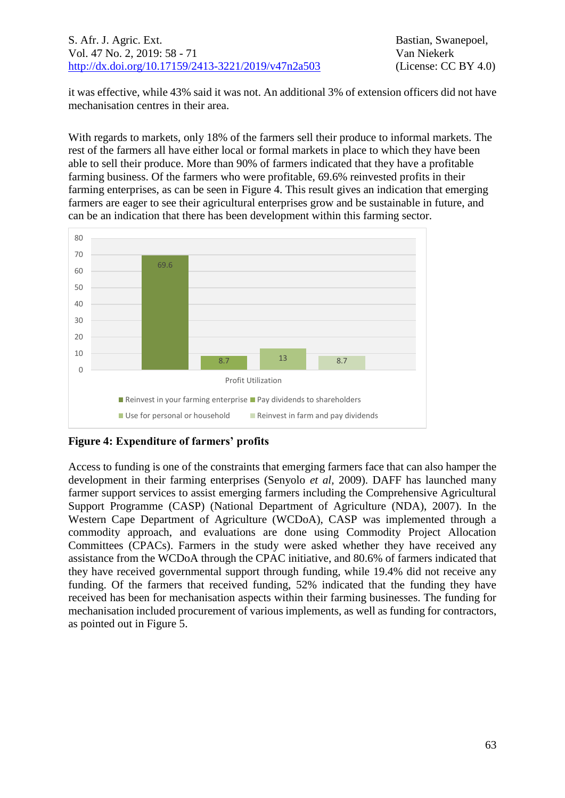it was effective, while 43% said it was not. An additional 3% of extension officers did not have mechanisation centres in their area.

With regards to markets, only 18% of the farmers sell their produce to informal markets. The rest of the farmers all have either local or formal markets in place to which they have been able to sell their produce. More than 90% of farmers indicated that they have a profitable farming business. Of the farmers who were profitable, 69.6% reinvested profits in their farming enterprises, as can be seen in Figure 4. This result gives an indication that emerging farmers are eager to see their agricultural enterprises grow and be sustainable in future, and can be an indication that there has been development within this farming sector.



**Figure 4: Expenditure of farmers' profits**

Access to funding is one of the constraints that emerging farmers face that can also hamper the development in their farming enterprises (Senyolo *et al,* 2009). DAFF has launched many farmer support services to assist emerging farmers including the Comprehensive Agricultural Support Programme (CASP) (National Department of Agriculture (NDA), 2007). In the Western Cape Department of Agriculture (WCDoA), CASP was implemented through a commodity approach, and evaluations are done using Commodity Project Allocation Committees (CPACs). Farmers in the study were asked whether they have received any assistance from the WCDoA through the CPAC initiative, and 80.6% of farmers indicated that they have received governmental support through funding, while 19.4% did not receive any funding. Of the farmers that received funding, 52% indicated that the funding they have received has been for mechanisation aspects within their farming businesses. The funding for mechanisation included procurement of various implements, as well as funding for contractors, as pointed out in Figure 5.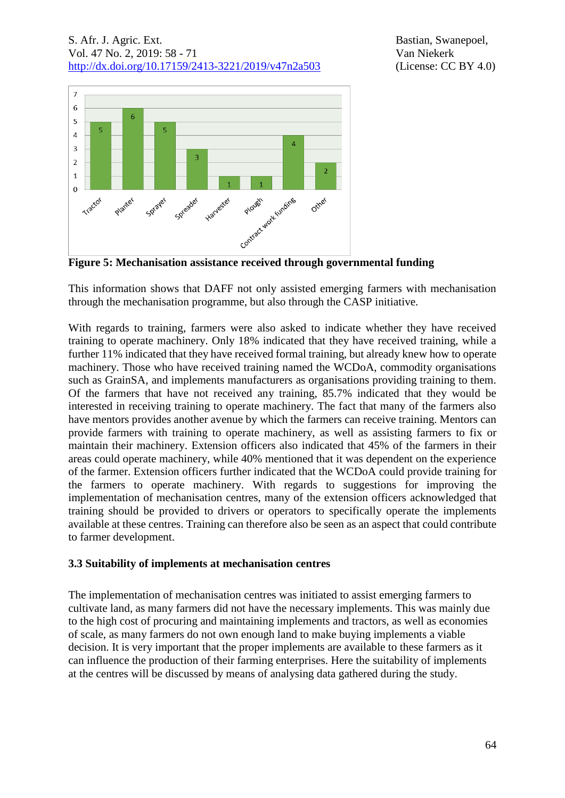## S. Afr. J. Agric. Ext. **Bastian, Swanepoel**, **Bastian**, Swanepoel, Vol. 47 No. 2, 2019: 58 - 71 Van Niekerk [http://dx.doi.org/10.17159/2413-3221/2019/v47n2a5](https://urldefense.proofpoint.com/v2/url?u=http-3A__dx.doi.org_10.17159_2413-2D3221_2019_v47n1a485&d=DwMFAg&c=vTCSeBKl9YZZHWJzz-zQUQ&r=2O1irMqrdumXAIE9PdSLREhTXj5iyPGEywcz8I6zQwI&m=niwmmhX1mCI8GpeJjK8D7j-v09hQgXHBu3LsS3Opojw&s=98o8gy8B6ly02TS5WoJvLScIQPXENi4ceK3R3c9Iu9c&e=)03 (License: CC BY 4.0)



**Figure 5: Mechanisation assistance received through governmental funding**

This information shows that DAFF not only assisted emerging farmers with mechanisation through the mechanisation programme, but also through the CASP initiative.

With regards to training, farmers were also asked to indicate whether they have received training to operate machinery. Only 18% indicated that they have received training, while a further 11% indicated that they have received formal training, but already knew how to operate machinery. Those who have received training named the WCDoA, commodity organisations such as GrainSA, and implements manufacturers as organisations providing training to them. Of the farmers that have not received any training, 85.7% indicated that they would be interested in receiving training to operate machinery. The fact that many of the farmers also have mentors provides another avenue by which the farmers can receive training. Mentors can provide farmers with training to operate machinery, as well as assisting farmers to fix or maintain their machinery. Extension officers also indicated that 45% of the farmers in their areas could operate machinery, while 40% mentioned that it was dependent on the experience of the farmer. Extension officers further indicated that the WCDoA could provide training for the farmers to operate machinery. With regards to suggestions for improving the implementation of mechanisation centres, many of the extension officers acknowledged that training should be provided to drivers or operators to specifically operate the implements available at these centres. Training can therefore also be seen as an aspect that could contribute to farmer development.

### **3.3 Suitability of implements at mechanisation centres**

The implementation of mechanisation centres was initiated to assist emerging farmers to cultivate land, as many farmers did not have the necessary implements. This was mainly due to the high cost of procuring and maintaining implements and tractors, as well as economies of scale, as many farmers do not own enough land to make buying implements a viable decision. It is very important that the proper implements are available to these farmers as it can influence the production of their farming enterprises. Here the suitability of implements at the centres will be discussed by means of analysing data gathered during the study.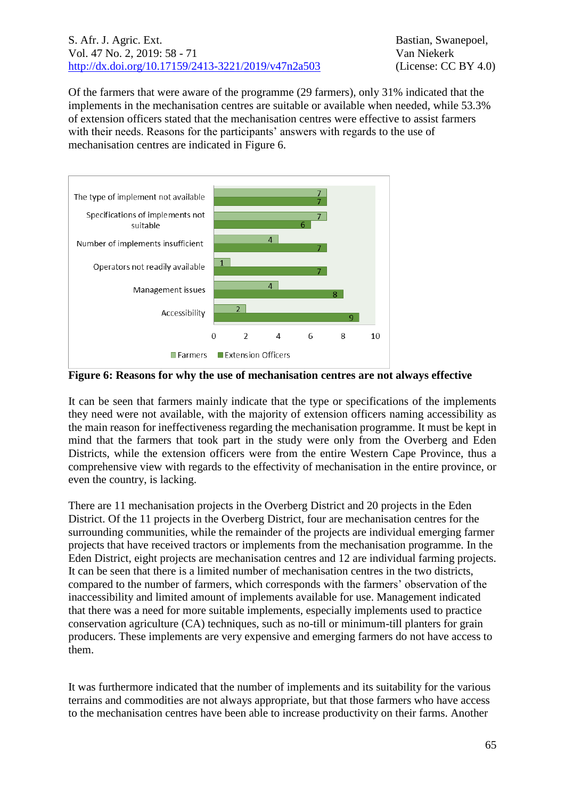### S. Afr. J. Agric. Ext. Bastian, Swanepoel, Vol. 47 No. 2, 2019: 58 - 71 Van Niekerk [http://dx.doi.org/10.17159/2413-3221/2019/v47n2a5](https://urldefense.proofpoint.com/v2/url?u=http-3A__dx.doi.org_10.17159_2413-2D3221_2019_v47n1a485&d=DwMFAg&c=vTCSeBKl9YZZHWJzz-zQUQ&r=2O1irMqrdumXAIE9PdSLREhTXj5iyPGEywcz8I6zQwI&m=niwmmhX1mCI8GpeJjK8D7j-v09hQgXHBu3LsS3Opojw&s=98o8gy8B6ly02TS5WoJvLScIQPXENi4ceK3R3c9Iu9c&e=)03 (License: CC BY 4.0)

Of the farmers that were aware of the programme (29 farmers), only 31% indicated that the implements in the mechanisation centres are suitable or available when needed, while 53.3% of extension officers stated that the mechanisation centres were effective to assist farmers with their needs. Reasons for the participants' answers with regards to the use of mechanisation centres are indicated in Figure 6.



**Figure 6: Reasons for why the use of mechanisation centres are not always effective**

It can be seen that farmers mainly indicate that the type or specifications of the implements they need were not available, with the majority of extension officers naming accessibility as the main reason for ineffectiveness regarding the mechanisation programme. It must be kept in mind that the farmers that took part in the study were only from the Overberg and Eden Districts, while the extension officers were from the entire Western Cape Province, thus a comprehensive view with regards to the effectivity of mechanisation in the entire province, or even the country, is lacking.

There are 11 mechanisation projects in the Overberg District and 20 projects in the Eden District. Of the 11 projects in the Overberg District, four are mechanisation centres for the surrounding communities, while the remainder of the projects are individual emerging farmer projects that have received tractors or implements from the mechanisation programme. In the Eden District, eight projects are mechanisation centres and 12 are individual farming projects. It can be seen that there is a limited number of mechanisation centres in the two districts, compared to the number of farmers, which corresponds with the farmers' observation of the inaccessibility and limited amount of implements available for use. Management indicated that there was a need for more suitable implements, especially implements used to practice conservation agriculture (CA) techniques, such as no-till or minimum-till planters for grain producers. These implements are very expensive and emerging farmers do not have access to them.

It was furthermore indicated that the number of implements and its suitability for the various terrains and commodities are not always appropriate, but that those farmers who have access to the mechanisation centres have been able to increase productivity on their farms. Another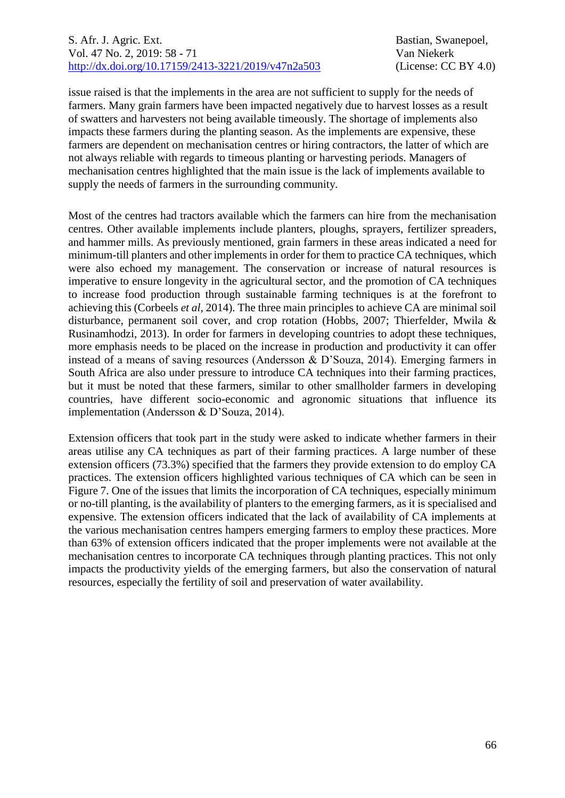### S. Afr. J. Agric. Ext. **Bastian, Swanepoel**, **Bastian**, Swanepoel, Vol. 47 No. 2, 2019: 58 - 71 Van Niekerk [http://dx.doi.org/10.17159/2413-3221/2019/v47n2a5](https://urldefense.proofpoint.com/v2/url?u=http-3A__dx.doi.org_10.17159_2413-2D3221_2019_v47n1a485&d=DwMFAg&c=vTCSeBKl9YZZHWJzz-zQUQ&r=2O1irMqrdumXAIE9PdSLREhTXj5iyPGEywcz8I6zQwI&m=niwmmhX1mCI8GpeJjK8D7j-v09hQgXHBu3LsS3Opojw&s=98o8gy8B6ly02TS5WoJvLScIQPXENi4ceK3R3c9Iu9c&e=)03 (License: CC BY 4.0)

issue raised is that the implements in the area are not sufficient to supply for the needs of farmers. Many grain farmers have been impacted negatively due to harvest losses as a result of swatters and harvesters not being available timeously. The shortage of implements also impacts these farmers during the planting season. As the implements are expensive, these farmers are dependent on mechanisation centres or hiring contractors, the latter of which are not always reliable with regards to timeous planting or harvesting periods. Managers of mechanisation centres highlighted that the main issue is the lack of implements available to supply the needs of farmers in the surrounding community.

Most of the centres had tractors available which the farmers can hire from the mechanisation centres. Other available implements include planters, ploughs, sprayers, fertilizer spreaders, and hammer mills. As previously mentioned, grain farmers in these areas indicated a need for minimum-till planters and other implements in order for them to practice CA techniques, which were also echoed my management. The conservation or increase of natural resources is imperative to ensure longevity in the agricultural sector, and the promotion of CA techniques to increase food production through sustainable farming techniques is at the forefront to achieving this (Corbeels *et al*, 2014). The three main principles to achieve CA are minimal soil disturbance, permanent soil cover, and crop rotation (Hobbs, 2007; Thierfelder, Mwila & Rusinamhodzi, 2013). In order for farmers in developing countries to adopt these techniques, more emphasis needs to be placed on the increase in production and productivity it can offer instead of a means of saving resources (Andersson & D'Souza, 2014). Emerging farmers in South Africa are also under pressure to introduce CA techniques into their farming practices, but it must be noted that these farmers, similar to other smallholder farmers in developing countries, have different socio-economic and agronomic situations that influence its implementation (Andersson & D'Souza, 2014).

Extension officers that took part in the study were asked to indicate whether farmers in their areas utilise any CA techniques as part of their farming practices. A large number of these extension officers (73.3%) specified that the farmers they provide extension to do employ CA practices. The extension officers highlighted various techniques of CA which can be seen in Figure 7. One of the issues that limits the incorporation of CA techniques, especially minimum or no-till planting, is the availability of planters to the emerging farmers, as it is specialised and expensive. The extension officers indicated that the lack of availability of CA implements at the various mechanisation centres hampers emerging farmers to employ these practices. More than 63% of extension officers indicated that the proper implements were not available at the mechanisation centres to incorporate CA techniques through planting practices. This not only impacts the productivity yields of the emerging farmers, but also the conservation of natural resources, especially the fertility of soil and preservation of water availability.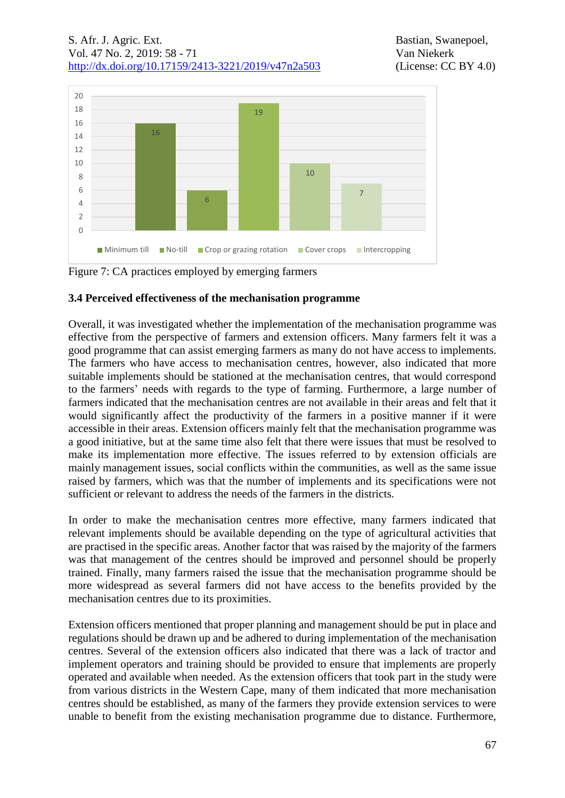

Figure 7: CA practices employed by emerging farmers

# **3.4 Perceived effectiveness of the mechanisation programme**

Overall, it was investigated whether the implementation of the mechanisation programme was effective from the perspective of farmers and extension officers. Many farmers felt it was a good programme that can assist emerging farmers as many do not have access to implements. The farmers who have access to mechanisation centres, however, also indicated that more suitable implements should be stationed at the mechanisation centres, that would correspond to the farmers' needs with regards to the type of farming. Furthermore, a large number of farmers indicated that the mechanisation centres are not available in their areas and felt that it would significantly affect the productivity of the farmers in a positive manner if it were accessible in their areas. Extension officers mainly felt that the mechanisation programme was a good initiative, but at the same time also felt that there were issues that must be resolved to make its implementation more effective. The issues referred to by extension officials are mainly management issues, social conflicts within the communities, as well as the same issue raised by farmers, which was that the number of implements and its specifications were not sufficient or relevant to address the needs of the farmers in the districts.

In order to make the mechanisation centres more effective, many farmers indicated that relevant implements should be available depending on the type of agricultural activities that are practised in the specific areas. Another factor that was raised by the majority of the farmers was that management of the centres should be improved and personnel should be properly trained. Finally, many farmers raised the issue that the mechanisation programme should be more widespread as several farmers did not have access to the benefits provided by the mechanisation centres due to its proximities.

Extension officers mentioned that proper planning and management should be put in place and regulations should be drawn up and be adhered to during implementation of the mechanisation centres. Several of the extension officers also indicated that there was a lack of tractor and implement operators and training should be provided to ensure that implements are properly operated and available when needed. As the extension officers that took part in the study were from various districts in the Western Cape, many of them indicated that more mechanisation centres should be established, as many of the farmers they provide extension services to were unable to benefit from the existing mechanisation programme due to distance. Furthermore,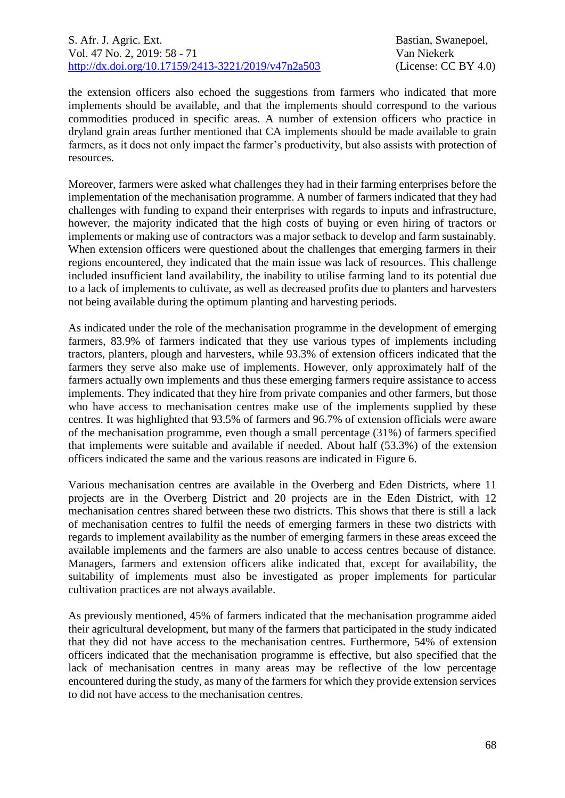the extension officers also echoed the suggestions from farmers who indicated that more implements should be available, and that the implements should correspond to the various commodities produced in specific areas. A number of extension officers who practice in dryland grain areas further mentioned that CA implements should be made available to grain farmers, as it does not only impact the farmer's productivity, but also assists with protection of resources.

Moreover, farmers were asked what challenges they had in their farming enterprises before the implementation of the mechanisation programme. A number of farmers indicated that they had challenges with funding to expand their enterprises with regards to inputs and infrastructure, however, the majority indicated that the high costs of buying or even hiring of tractors or implements or making use of contractors was a major setback to develop and farm sustainably. When extension officers were questioned about the challenges that emerging farmers in their regions encountered, they indicated that the main issue was lack of resources. This challenge included insufficient land availability, the inability to utilise farming land to its potential due to a lack of implements to cultivate, as well as decreased profits due to planters and harvesters not being available during the optimum planting and harvesting periods.

As indicated under the role of the mechanisation programme in the development of emerging farmers, 83.9% of farmers indicated that they use various types of implements including tractors, planters, plough and harvesters, while 93.3% of extension officers indicated that the farmers they serve also make use of implements. However, only approximately half of the farmers actually own implements and thus these emerging farmers require assistance to access implements. They indicated that they hire from private companies and other farmers, but those who have access to mechanisation centres make use of the implements supplied by these centres. It was highlighted that 93.5% of farmers and 96.7% of extension officials were aware of the mechanisation programme, even though a small percentage (31%) of farmers specified that implements were suitable and available if needed. About half (53.3%) of the extension officers indicated the same and the various reasons are indicated in Figure 6.

Various mechanisation centres are available in the Overberg and Eden Districts, where 11 projects are in the Overberg District and 20 projects are in the Eden District, with 12 mechanisation centres shared between these two districts. This shows that there is still a lack of mechanisation centres to fulfil the needs of emerging farmers in these two districts with regards to implement availability as the number of emerging farmers in these areas exceed the available implements and the farmers are also unable to access centres because of distance. Managers, farmers and extension officers alike indicated that, except for availability, the suitability of implements must also be investigated as proper implements for particular cultivation practices are not always available.

As previously mentioned, 45% of farmers indicated that the mechanisation programme aided their agricultural development, but many of the farmers that participated in the study indicated that they did not have access to the mechanisation centres. Furthermore, 54% of extension officers indicated that the mechanisation programme is effective, but also specified that the lack of mechanisation centres in many areas may be reflective of the low percentage encountered during the study, as many of the farmers for which they provide extension services to did not have access to the mechanisation centres.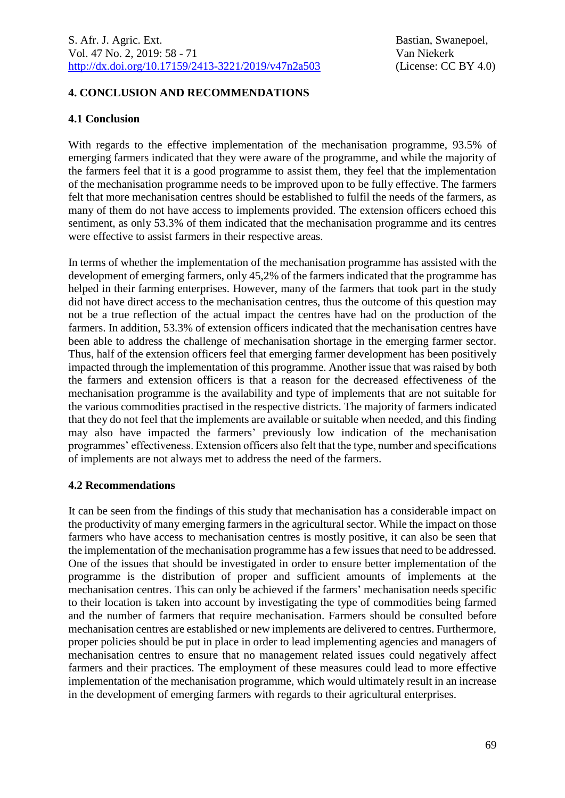## **4. CONCLUSION AND RECOMMENDATIONS**

### **4.1 Conclusion**

With regards to the effective implementation of the mechanisation programme, 93.5% of emerging farmers indicated that they were aware of the programme, and while the majority of the farmers feel that it is a good programme to assist them, they feel that the implementation of the mechanisation programme needs to be improved upon to be fully effective. The farmers felt that more mechanisation centres should be established to fulfil the needs of the farmers, as many of them do not have access to implements provided. The extension officers echoed this sentiment, as only 53.3% of them indicated that the mechanisation programme and its centres were effective to assist farmers in their respective areas.

In terms of whether the implementation of the mechanisation programme has assisted with the development of emerging farmers, only 45,2% of the farmers indicated that the programme has helped in their farming enterprises. However, many of the farmers that took part in the study did not have direct access to the mechanisation centres, thus the outcome of this question may not be a true reflection of the actual impact the centres have had on the production of the farmers. In addition, 53.3% of extension officers indicated that the mechanisation centres have been able to address the challenge of mechanisation shortage in the emerging farmer sector. Thus, half of the extension officers feel that emerging farmer development has been positively impacted through the implementation of this programme. Another issue that was raised by both the farmers and extension officers is that a reason for the decreased effectiveness of the mechanisation programme is the availability and type of implements that are not suitable for the various commodities practised in the respective districts. The majority of farmers indicated that they do not feel that the implements are available or suitable when needed, and this finding may also have impacted the farmers' previously low indication of the mechanisation programmes' effectiveness. Extension officers also felt that the type, number and specifications of implements are not always met to address the need of the farmers.

### **4.2 Recommendations**

It can be seen from the findings of this study that mechanisation has a considerable impact on the productivity of many emerging farmers in the agricultural sector. While the impact on those farmers who have access to mechanisation centres is mostly positive, it can also be seen that the implementation of the mechanisation programme has a few issues that need to be addressed. One of the issues that should be investigated in order to ensure better implementation of the programme is the distribution of proper and sufficient amounts of implements at the mechanisation centres. This can only be achieved if the farmers' mechanisation needs specific to their location is taken into account by investigating the type of commodities being farmed and the number of farmers that require mechanisation. Farmers should be consulted before mechanisation centres are established or new implements are delivered to centres. Furthermore, proper policies should be put in place in order to lead implementing agencies and managers of mechanisation centres to ensure that no management related issues could negatively affect farmers and their practices. The employment of these measures could lead to more effective implementation of the mechanisation programme, which would ultimately result in an increase in the development of emerging farmers with regards to their agricultural enterprises.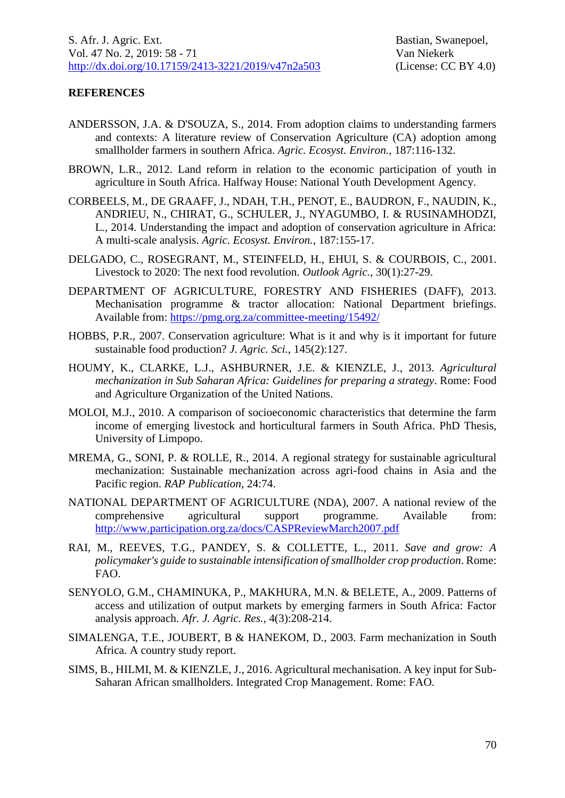## **REFERENCES**

- ANDERSSON, J.A. & D'SOUZA, S., 2014. From adoption claims to understanding farmers and contexts: A literature review of Conservation Agriculture (CA) adoption among smallholder farmers in southern Africa. *Agric. Ecosyst. Environ.*, 187:116-132.
- BROWN, L.R., 2012. Land reform in relation to the economic participation of youth in agriculture in South Africa. Halfway House: National Youth Development Agency.
- CORBEELS, M., DE GRAAFF, J., NDAH, T.H., PENOT, E., BAUDRON, F., NAUDIN, K., ANDRIEU, N., CHIRAT, G., SCHULER, J., NYAGUMBO, I. & RUSINAMHODZI, L., 2014. Understanding the impact and adoption of conservation agriculture in Africa: A multi-scale analysis. *Agric. Ecosyst. Environ.*, 187:155-17.
- DELGADO, C., ROSEGRANT, M., STEINFELD, H., EHUI, S. & COURBOIS, C., 2001. Livestock to 2020: The next food revolution. *Outlook Agric.*, 30(1):27-29.
- DEPARTMENT OF AGRICULTURE, FORESTRY AND FISHERIES (DAFF), 2013. Mechanisation programme & tractor allocation: National Department briefings. Available from: <https://pmg.org.za/committee-meeting/15492/>
- HOBBS, P.R., 2007. Conservation agriculture: What is it and why is it important for future sustainable food production? *J. Agric. Sci.*, 145(2):127.
- HOUMY, K., CLARKE, L.J., ASHBURNER, J.E. & KIENZLE, J., 2013. *Agricultural mechanization in Sub Saharan Africa: Guidelines for preparing a strategy*. Rome: Food and Agriculture Organization of the United Nations.
- MOLOI, M.J., 2010. A comparison of socioeconomic characteristics that determine the farm income of emerging livestock and horticultural farmers in South Africa. PhD Thesis, University of Limpopo.
- MREMA, G., SONI, P. & ROLLE, R., 2014. A regional strategy for sustainable agricultural mechanization: Sustainable mechanization across agri-food chains in Asia and the Pacific region. *RAP Publication*, 24:74.
- NATIONAL DEPARTMENT OF AGRICULTURE (NDA), 2007. A national review of the comprehensive agricultural support programme. Available from: <http://www.participation.org.za/docs/CASPReviewMarch2007.pdf>
- RAI, M., REEVES, T.G., PANDEY, S. & COLLETTE, L., 2011. *Save and grow: A policymaker's guide to sustainable intensification of smallholder crop production*. Rome: FAO.
- SENYOLO, G.M., CHAMINUKA, P., MAKHURA, M.N. & BELETE, A., 2009. Patterns of access and utilization of output markets by emerging farmers in South Africa: Factor analysis approach. *Afr. J. Agric. Res.*, 4(3):208-214.
- SIMALENGA, T.E., JOUBERT, B & HANEKOM, D., 2003. Farm mechanization in South Africa. A country study report.
- SIMS, B., HILMI, M. & KIENZLE, J., 2016. Agricultural mechanisation. A key input for Sub-Saharan African smallholders. Integrated Crop Management. Rome: FAO.